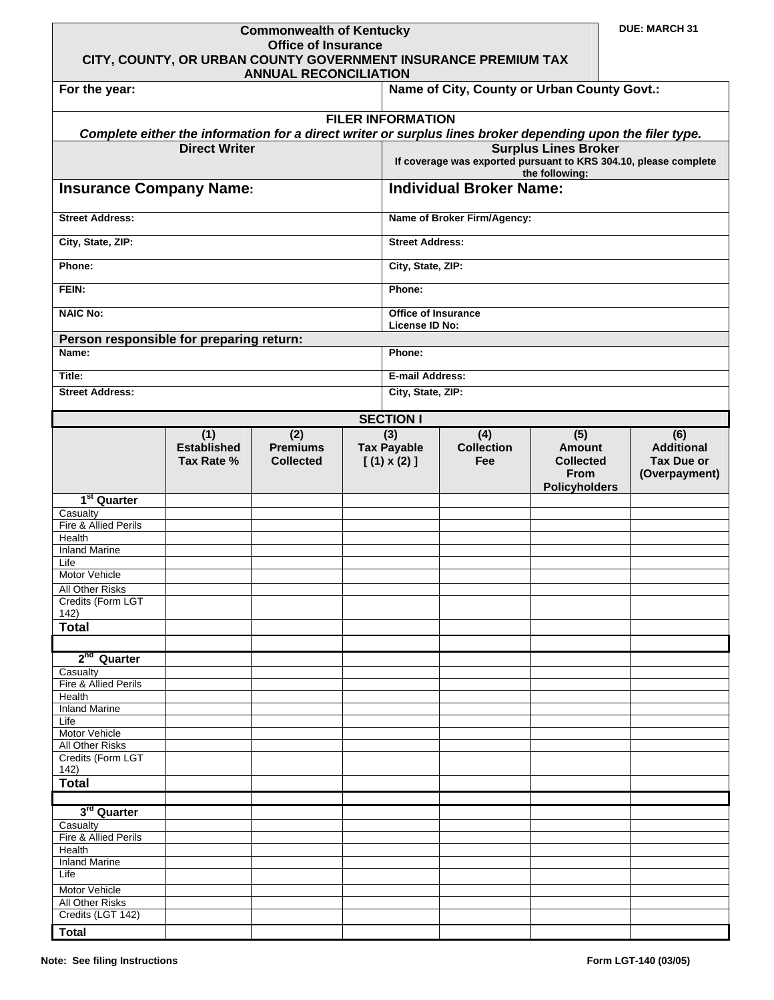| <b>Commonwealth of Kentucky</b><br><b>Office of Insurance</b><br>CITY, COUNTY, OR URBAN COUNTY GOVERNMENT INSURANCE PREMIUM TAX |                                  |                                     |  |                                              |                                                                                                            | <b>DUE: MARCH 31</b>                                                            |  |                                                         |  |
|---------------------------------------------------------------------------------------------------------------------------------|----------------------------------|-------------------------------------|--|----------------------------------------------|------------------------------------------------------------------------------------------------------------|---------------------------------------------------------------------------------|--|---------------------------------------------------------|--|
| <b>ANNUAL RECONCILIATION</b><br>Name of City, County or Urban County Govt.:<br>For the year:                                    |                                  |                                     |  |                                              |                                                                                                            |                                                                                 |  |                                                         |  |
|                                                                                                                                 |                                  |                                     |  |                                              |                                                                                                            |                                                                                 |  |                                                         |  |
|                                                                                                                                 |                                  |                                     |  | <b>FILER INFORMATION</b>                     | Complete either the information for a direct writer or surplus lines broker depending upon the filer type. |                                                                                 |  |                                                         |  |
|                                                                                                                                 | <b>Direct Writer</b>             |                                     |  |                                              |                                                                                                            | <b>Surplus Lines Broker</b>                                                     |  |                                                         |  |
|                                                                                                                                 |                                  |                                     |  |                                              | If coverage was exported pursuant to KRS 304.10, please complete                                           | the following:                                                                  |  |                                                         |  |
| <b>Insurance Company Name:</b>                                                                                                  |                                  |                                     |  | <b>Individual Broker Name:</b>               |                                                                                                            |                                                                                 |  |                                                         |  |
| <b>Street Address:</b>                                                                                                          |                                  |                                     |  | Name of Broker Firm/Agency:                  |                                                                                                            |                                                                                 |  |                                                         |  |
| City, State, ZIP:                                                                                                               |                                  |                                     |  | <b>Street Address:</b>                       |                                                                                                            |                                                                                 |  |                                                         |  |
| Phone:                                                                                                                          |                                  |                                     |  | City, State, ZIP:                            |                                                                                                            |                                                                                 |  |                                                         |  |
| FEIN:                                                                                                                           |                                  |                                     |  | Phone:                                       |                                                                                                            |                                                                                 |  |                                                         |  |
| <b>NAIC No:</b>                                                                                                                 |                                  |                                     |  | <b>Office of Insurance</b><br>License ID No: |                                                                                                            |                                                                                 |  |                                                         |  |
| Person responsible for preparing return:<br>Name:                                                                               |                                  |                                     |  | Phone:                                       |                                                                                                            |                                                                                 |  |                                                         |  |
|                                                                                                                                 |                                  |                                     |  |                                              |                                                                                                            |                                                                                 |  |                                                         |  |
| Title:<br><b>Street Address:</b>                                                                                                |                                  |                                     |  | <b>E-mail Address:</b><br>City, State, ZIP:  |                                                                                                            |                                                                                 |  |                                                         |  |
|                                                                                                                                 |                                  |                                     |  |                                              |                                                                                                            |                                                                                 |  |                                                         |  |
|                                                                                                                                 | (1)                              | (2)                                 |  | <b>SECTION I</b><br>(3)                      | (4)                                                                                                        |                                                                                 |  | (6)                                                     |  |
|                                                                                                                                 | <b>Established</b><br>Tax Rate % | <b>Premiums</b><br><b>Collected</b> |  | <b>Tax Payable</b><br>$[(1) \times (2)]$     | <b>Collection</b><br>Fee                                                                                   | (5)<br><b>Amount</b><br><b>Collected</b><br><b>From</b><br><b>Policyholders</b> |  | <b>Additional</b><br><b>Tax Due or</b><br>(Overpayment) |  |
| 1 <sup>st</sup> Quarter                                                                                                         |                                  |                                     |  |                                              |                                                                                                            |                                                                                 |  |                                                         |  |
| Casualty<br>Fire & Allied Perils                                                                                                |                                  |                                     |  |                                              |                                                                                                            |                                                                                 |  |                                                         |  |
| Health                                                                                                                          |                                  |                                     |  |                                              |                                                                                                            |                                                                                 |  |                                                         |  |
| <b>Inland Marine</b><br>Life                                                                                                    |                                  |                                     |  |                                              |                                                                                                            |                                                                                 |  |                                                         |  |
| Motor Vehicle                                                                                                                   |                                  |                                     |  |                                              |                                                                                                            |                                                                                 |  |                                                         |  |
| All Other Risks<br>Credits (Form LGT<br>142)                                                                                    |                                  |                                     |  |                                              |                                                                                                            |                                                                                 |  |                                                         |  |
| <b>Total</b>                                                                                                                    |                                  |                                     |  |                                              |                                                                                                            |                                                                                 |  |                                                         |  |
| 2 <sup>nd</sup> Quarter                                                                                                         |                                  |                                     |  |                                              |                                                                                                            |                                                                                 |  |                                                         |  |
| Casualty<br>Fire & Allied Perils                                                                                                |                                  |                                     |  |                                              |                                                                                                            |                                                                                 |  |                                                         |  |
| Health                                                                                                                          |                                  |                                     |  |                                              |                                                                                                            |                                                                                 |  |                                                         |  |
| <b>Inland Marine</b><br>Life                                                                                                    |                                  |                                     |  |                                              |                                                                                                            |                                                                                 |  |                                                         |  |
| Motor Vehicle                                                                                                                   |                                  |                                     |  |                                              |                                                                                                            |                                                                                 |  |                                                         |  |
| All Other Risks<br>Credits (Form LGT                                                                                            |                                  |                                     |  |                                              |                                                                                                            |                                                                                 |  |                                                         |  |
| 142)<br><b>Total</b>                                                                                                            |                                  |                                     |  |                                              |                                                                                                            |                                                                                 |  |                                                         |  |
|                                                                                                                                 |                                  |                                     |  |                                              |                                                                                                            |                                                                                 |  |                                                         |  |
| 3 <sup>rd</sup> Quarter<br>Casualty                                                                                             |                                  |                                     |  |                                              |                                                                                                            |                                                                                 |  |                                                         |  |
| Fire & Allied Perils                                                                                                            |                                  |                                     |  |                                              |                                                                                                            |                                                                                 |  |                                                         |  |
| <b>Health</b><br><b>Inland Marine</b>                                                                                           |                                  |                                     |  |                                              |                                                                                                            |                                                                                 |  |                                                         |  |
| Life                                                                                                                            |                                  |                                     |  |                                              |                                                                                                            |                                                                                 |  |                                                         |  |
| Motor Vehicle<br>All Other Risks                                                                                                |                                  |                                     |  |                                              |                                                                                                            |                                                                                 |  |                                                         |  |
| Credits (LGT 142)                                                                                                               |                                  |                                     |  |                                              |                                                                                                            |                                                                                 |  |                                                         |  |
| <b>Total</b>                                                                                                                    |                                  |                                     |  |                                              |                                                                                                            |                                                                                 |  |                                                         |  |